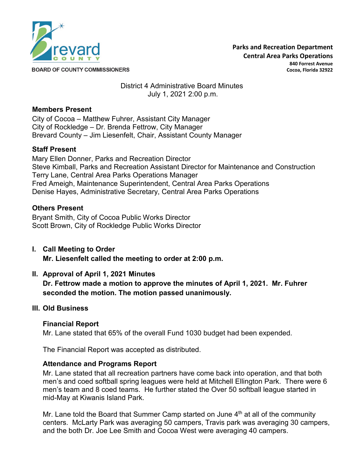

**BOARD OF COUNTY COMMISSIONERS** 

### District 4 Administrative Board Minutes July 1, 2021 2:00 p.m.

### **Members Present**

City of Cocoa – Matthew Fuhrer, Assistant City Manager City of Rockledge – Dr. Brenda Fettrow, City Manager Brevard County – Jim Liesenfelt, Chair, Assistant County Manager

# **Staff Present**

Mary Ellen Donner, Parks and Recreation Director Steve Kimball, Parks and Recreation Assistant Director for Maintenance and Construction Terry Lane, Central Area Parks Operations Manager Fred Ameigh, Maintenance Superintendent, Central Area Parks Operations Denise Hayes, Administrative Secretary, Central Area Parks Operations

### **Others Present**

Bryant Smith, City of Cocoa Public Works Director Scott Brown, City of Rockledge Public Works Director

**I. Call Meeting to Order Mr. Liesenfelt called the meeting to order at 2:00 p.m.**

# **II. Approval of April 1, 2021 Minutes**

**Dr. Fettrow made a motion to approve the minutes of April 1, 2021. Mr. Fuhrer seconded the motion. The motion passed unanimously.**

### **III. Old Business**

### **Financial Report**

Mr. Lane stated that 65% of the overall Fund 1030 budget had been expended.

The Financial Report was accepted as distributed.

### **Attendance and Programs Report**

Mr. Lane stated that all recreation partners have come back into operation, and that both men's and coed softball spring leagues were held at Mitchell Ellington Park. There were 6 men's team and 8 coed teams. He further stated the Over 50 softball league started in mid-May at Kiwanis Island Park.

Mr. Lane told the Board that Summer Camp started on June 4<sup>th</sup> at all of the community centers. McLarty Park was averaging 50 campers, Travis park was averaging 30 campers, and the both Dr. Joe Lee Smith and Cocoa West were averaging 40 campers.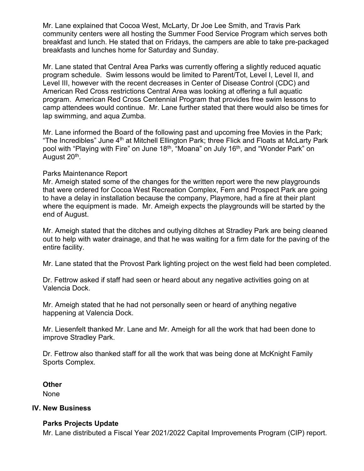Mr. Lane explained that Cocoa West, McLarty, Dr Joe Lee Smith, and Travis Park community centers were all hosting the Summer Food Service Program which serves both breakfast and lunch. He stated that on Fridays, the campers are able to take pre-packaged breakfasts and lunches home for Saturday and Sunday.

Mr. Lane stated that Central Area Parks was currently offering a slightly reduced aquatic program schedule. Swim lessons would be limited to Parent/Tot, Level I, Level II, and Level III, however with the recent decreases in Center of Disease Control (CDC) and American Red Cross restrictions Central Area was looking at offering a full aquatic program. American Red Cross Centennial Program that provides free swim lessons to camp attendees would continue. Mr. Lane further stated that there would also be times for lap swimming, and aqua Zumba.

Mr. Lane informed the Board of the following past and upcoming free Movies in the Park; "The Incredibles" June  $4<sup>th</sup>$  at Mitchell Ellington Park; three Flick and Floats at McLarty Park pool with "Playing with Fire" on June 18<sup>th</sup>, "Moana" on July 16<sup>th</sup>, and "Wonder Park" on August 20<sup>th</sup>.

### Parks Maintenance Report

Mr. Ameigh stated some of the changes for the written report were the new playgrounds that were ordered for Cocoa West Recreation Complex, Fern and Prospect Park are going to have a delay in installation because the company, Playmore, had a fire at their plant where the equipment is made. Mr. Ameigh expects the playgrounds will be started by the end of August.

Mr. Ameigh stated that the ditches and outlying ditches at Stradley Park are being cleaned out to help with water drainage, and that he was waiting for a firm date for the paving of the entire facility.

Mr. Lane stated that the Provost Park lighting project on the west field had been completed.

Dr. Fettrow asked if staff had seen or heard about any negative activities going on at Valencia Dock.

Mr. Ameigh stated that he had not personally seen or heard of anything negative happening at Valencia Dock.

Mr. Liesenfelt thanked Mr. Lane and Mr. Ameigh for all the work that had been done to improve Stradley Park.

Dr. Fettrow also thanked staff for all the work that was being done at McKnight Family Sports Complex.

**Other**

None

#### **IV. New Business**

### **Parks Projects Update**

Mr. Lane distributed a Fiscal Year 2021/2022 Capital Improvements Program (CIP) report.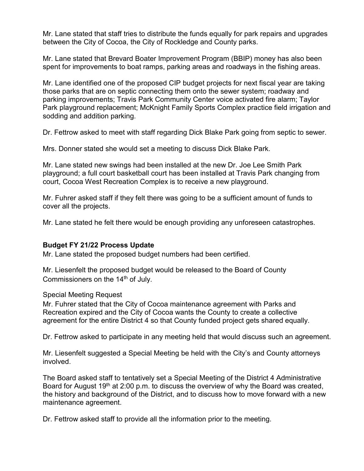Mr. Lane stated that staff tries to distribute the funds equally for park repairs and upgrades between the City of Cocoa, the City of Rockledge and County parks.

Mr. Lane stated that Brevard Boater Improvement Program (BBIP) money has also been spent for improvements to boat ramps, parking areas and roadways in the fishing areas.

Mr. Lane identified one of the proposed CIP budget projects for next fiscal year are taking those parks that are on septic connecting them onto the sewer system; roadway and parking improvements; Travis Park Community Center voice activated fire alarm; Taylor Park playground replacement; McKnight Family Sports Complex practice field irrigation and sodding and addition parking.

Dr. Fettrow asked to meet with staff regarding Dick Blake Park going from septic to sewer.

Mrs. Donner stated she would set a meeting to discuss Dick Blake Park.

Mr. Lane stated new swings had been installed at the new Dr. Joe Lee Smith Park playground; a full court basketball court has been installed at Travis Park changing from court, Cocoa West Recreation Complex is to receive a new playground.

Mr. Fuhrer asked staff if they felt there was going to be a sufficient amount of funds to cover all the projects.

Mr. Lane stated he felt there would be enough providing any unforeseen catastrophes.

# **Budget FY 21/22 Process Update**

Mr. Lane stated the proposed budget numbers had been certified.

Mr. Liesenfelt the proposed budget would be released to the Board of County Commissioners on the 14<sup>th</sup> of July.

Special Meeting Request

Mr. Fuhrer stated that the City of Cocoa maintenance agreement with Parks and Recreation expired and the City of Cocoa wants the County to create a collective agreement for the entire District 4 so that County funded project gets shared equally.

Dr. Fettrow asked to participate in any meeting held that would discuss such an agreement.

Mr. Liesenfelt suggested a Special Meeting be held with the City's and County attorneys involved.

The Board asked staff to tentatively set a Special Meeting of the District 4 Administrative Board for August 19<sup>th</sup> at 2:00 p.m. to discuss the overview of why the Board was created, the history and background of the District, and to discuss how to move forward with a new maintenance agreement.

Dr. Fettrow asked staff to provide all the information prior to the meeting.